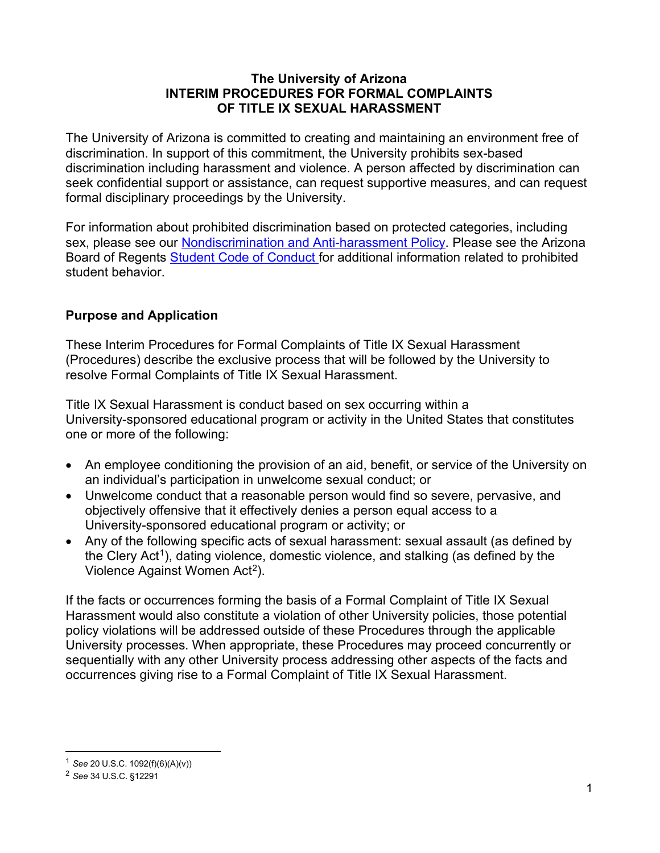#### **The University of Arizona INTERIM PROCEDURES FOR FORMAL COMPLAINTS OF TITLE IX SEXUAL HARASSMENT**

The University of Arizona is committed to creating and maintaining an environment free of discrimination. In support of this commitment, the University prohibits sex-based discrimination including harassment and violence. A person affected by discrimination can seek confidential support or assistance, can request supportive measures, and can request formal disciplinary proceedings by the University.

For information about prohibited discrimination based on protected categories, including sex, please see our Nondiscrimination [and Anti-harassment Policy.](https://policy.arizona.edu/human-resources/nondiscrimination-and-anti-harassment-policy) Please see the Arizona Board of Regents [Student Code of Conduct f](https://deanofstudents.arizona.edu/student-rights-responsibilities/student-code-conduct)or additional information related to prohibited student behavior.

# **Purpose and Application**

These Interim Procedures for Formal Complaints of Title IX Sexual Harassment (Procedures) describe the exclusive process that will be followed by the University to resolve Formal Complaints of Title IX Sexual Harassment.

Title IX Sexual Harassment is conduct based on sex occurring within a University-sponsored educational program or activity in the United States that constitutes one or more of the following:

- An employee conditioning the provision of an aid, benefit, or service of the University on an individual's participation in unwelcome sexual conduct; or
- Unwelcome conduct that a reasonable person would find so severe, pervasive, and objectively offensive that it effectively denies a person equal access to a University-sponsored educational program or activity; or
- Any of the following specific acts of sexual harassment: sexual assault (as defined by the Clery Act<sup>1</sup>), dating violence, domestic violence, and stalking (as defined by the Violence Against Women Act<sup>2</sup>).

If the facts or occurrences forming the basis of a Formal Complaint of Title IX Sexual Harassment would also constitute a violation of other University policies, those potential policy violations will be addressed outside of these Procedures through the applicable University processes. When appropriate, these Procedures may proceed concurrently or sequentially with any other University process addressing other aspects of the facts and occurrences giving rise to a Formal Complaint of Title IX Sexual Harassment.

<span id="page-0-0"></span><sup>1</sup> *See* 20 U.S.C. 1092(f)(6)(A)(v))

<span id="page-0-1"></span><sup>2</sup> *See* 34 U.S.C. §12291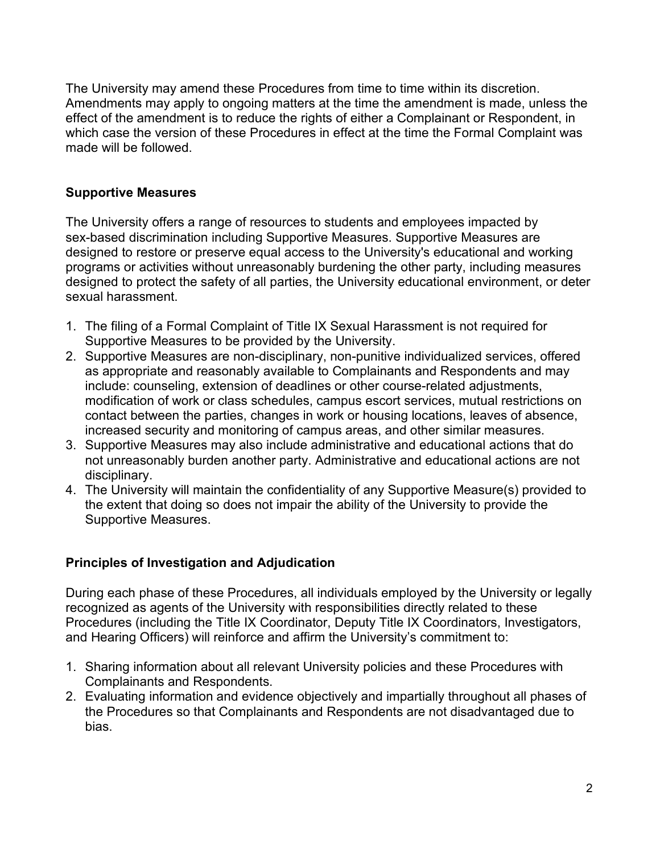The University may amend these Procedures from time to time within its discretion. Amendments may apply to ongoing matters at the time the amendment is made, unless the effect of the amendment is to reduce the rights of either a Complainant or Respondent, in which case the version of these Procedures in effect at the time the Formal Complaint was made will be followed.

### **Supportive Measures**

The University offers a range of resources to students and employees impacted by sex-based discrimination including Supportive Measures. Supportive Measures are designed to restore or preserve equal access to the University's educational and working programs or activities without unreasonably burdening the other party, including measures designed to protect the safety of all parties, the University educational environment, or deter sexual harassment.

- 1. The filing of a Formal Complaint of Title IX Sexual Harassment is not required for Supportive Measures to be provided by the University.
- 2. Supportive Measures are non-disciplinary, non-punitive individualized services, offered as appropriate and reasonably available to Complainants and Respondents and may include: counseling, extension of deadlines or other course-related adjustments, modification of work or class schedules, campus escort services, mutual restrictions on contact between the parties, changes in work or housing locations, leaves of absence, increased security and monitoring of campus areas, and other similar measures.
- 3. Supportive Measures may also include administrative and educational actions that do not unreasonably burden another party. Administrative and educational actions are not disciplinary.
- 4. The University will maintain the confidentiality of any Supportive Measure(s) provided to the extent that doing so does not impair the ability of the University to provide the Supportive Measures.

# **Principles of Investigation and Adjudication**

During each phase of these Procedures, all individuals employed by the University or legally recognized as agents of the University with responsibilities directly related to these Procedures (including the Title IX Coordinator, Deputy Title IX Coordinators, Investigators, and Hearing Officers) will reinforce and affirm the University's commitment to:

- 1. Sharing information about all relevant University policies and these Procedures with Complainants and Respondents.
- 2. Evaluating information and evidence objectively and impartially throughout all phases of the Procedures so that Complainants and Respondents are not disadvantaged due to bias.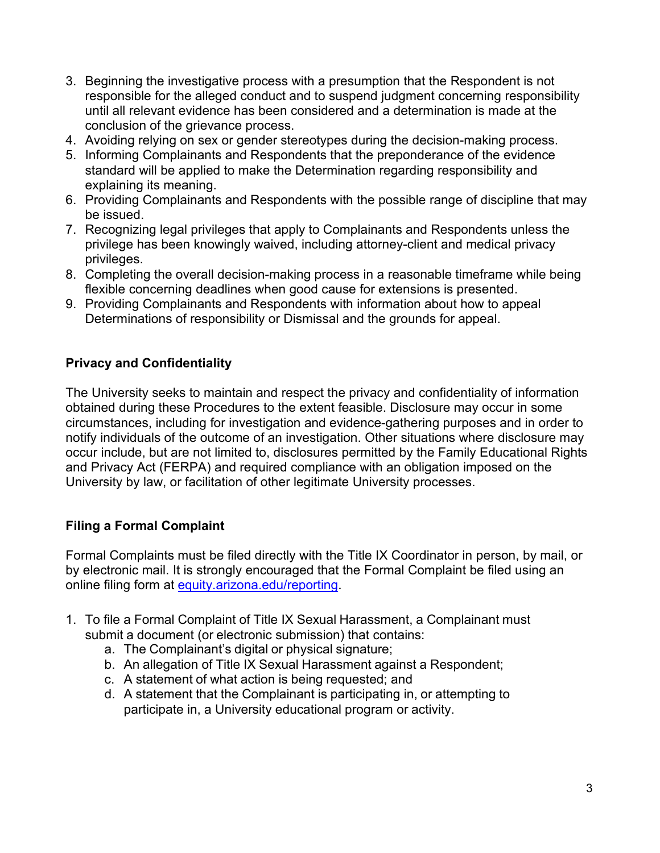- 3. Beginning the investigative process with a presumption that the Respondent is not responsible for the alleged conduct and to suspend judgment concerning responsibility until all relevant evidence has been considered and a determination is made at the conclusion of the grievance process.
- 4. Avoiding relying on sex or gender stereotypes during the decision-making process.
- 5. Informing Complainants and Respondents that the preponderance of the evidence standard will be applied to make the Determination regarding responsibility and explaining its meaning.
- 6. Providing Complainants and Respondents with the possible range of discipline that may be issued.
- 7. Recognizing legal privileges that apply to Complainants and Respondents unless the privilege has been knowingly waived, including attorney-client and medical privacy privileges.
- 8. Completing the overall decision-making process in a reasonable timeframe while being flexible concerning deadlines when good cause for extensions is presented.
- 9. Providing Complainants and Respondents with information about how to appeal Determinations of responsibility or Dismissal and the grounds for appeal.

# **Privacy and Confidentiality**

The University seeks to maintain and respect the privacy and confidentiality of information obtained during these Procedures to the extent feasible. Disclosure may occur in some circumstances, including for investigation and evidence-gathering purposes and in order to notify individuals of the outcome of an investigation. Other situations where disclosure may occur include, but are not limited to, disclosures permitted by the Family Educational Rights and Privacy Act (FERPA) and required compliance with an obligation imposed on the University by law, or facilitation of other legitimate University processes.

# **Filing a Formal Complaint**

Formal Complaints must be filed directly with the Title IX Coordinator in person, by mail, or by electronic mail. It is strongly encouraged that the Formal Complaint be filed using an online filing form at [equity.arizona.edu/reporting.](https://equity.arizona.edu/reporting)

- 1. To file a Formal Complaint of Title IX Sexual Harassment, a Complainant must submit a document (or electronic submission) that contains:
	- a. The Complainant's digital or physical signature;
	- b. An allegation of Title IX Sexual Harassment against a Respondent;
	- c. A statement of what action is being requested; and
	- d. A statement that the Complainant is participating in, or attempting to participate in, a University educational program or activity.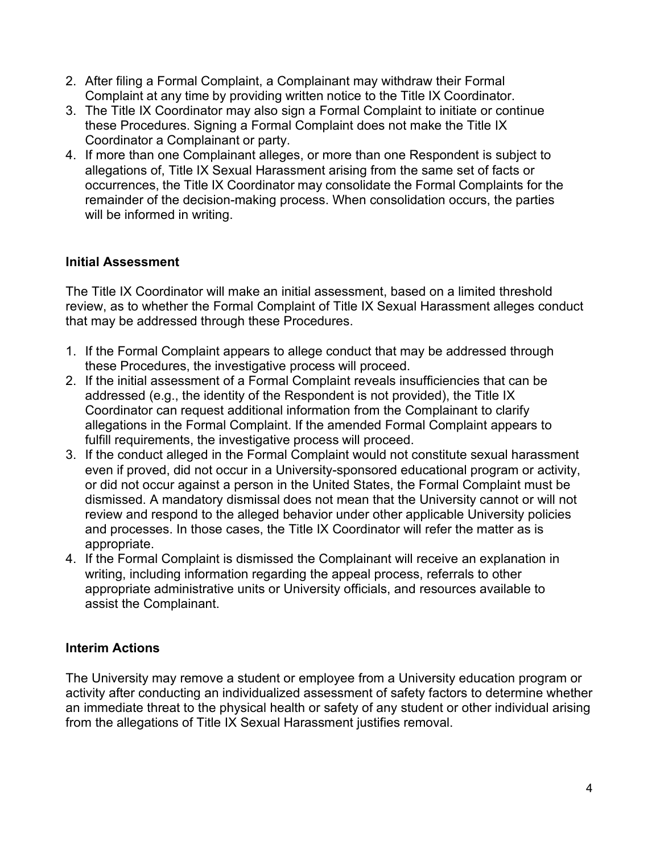- 2. After filing a Formal Complaint, a Complainant may withdraw their Formal Complaint at any time by providing written notice to the Title IX Coordinator.
- 3. The Title IX Coordinator may also sign a Formal Complaint to initiate or continue these Procedures. Signing a Formal Complaint does not make the Title IX Coordinator a Complainant or party.
- 4. If more than one Complainant alleges, or more than one Respondent is subject to allegations of, Title IX Sexual Harassment arising from the same set of facts or occurrences, the Title IX Coordinator may consolidate the Formal Complaints for the remainder of the decision-making process. When consolidation occurs, the parties will be informed in writing.

# **Initial Assessment**

The Title IX Coordinator will make an initial assessment, based on a limited threshold review, as to whether the Formal Complaint of Title IX Sexual Harassment alleges conduct that may be addressed through these Procedures.

- 1. If the Formal Complaint appears to allege conduct that may be addressed through these Procedures, the investigative process will proceed.
- 2. If the initial assessment of a Formal Complaint reveals insufficiencies that can be addressed (e.g., the identity of the Respondent is not provided), the Title IX Coordinator can request additional information from the Complainant to clarify allegations in the Formal Complaint. If the amended Formal Complaint appears to fulfill requirements, the investigative process will proceed.
- 3. If the conduct alleged in the Formal Complaint would not constitute sexual harassment even if proved, did not occur in a University-sponsored educational program or activity, or did not occur against a person in the United States, the Formal Complaint must be dismissed. A mandatory dismissal does not mean that the University cannot or will not review and respond to the alleged behavior under other applicable University policies and processes. In those cases, the Title IX Coordinator will refer the matter as is appropriate.
- 4. If the Formal Complaint is dismissed the Complainant will receive an explanation in writing, including information regarding the appeal process, referrals to other appropriate administrative units or University officials, and resources available to assist the Complainant.

# **Interim Actions**

The University may remove a student or employee from a University education program or activity after conducting an individualized assessment of safety factors to determine whether an immediate threat to the physical health or safety of any student or other individual arising from the allegations of Title IX Sexual Harassment justifies removal.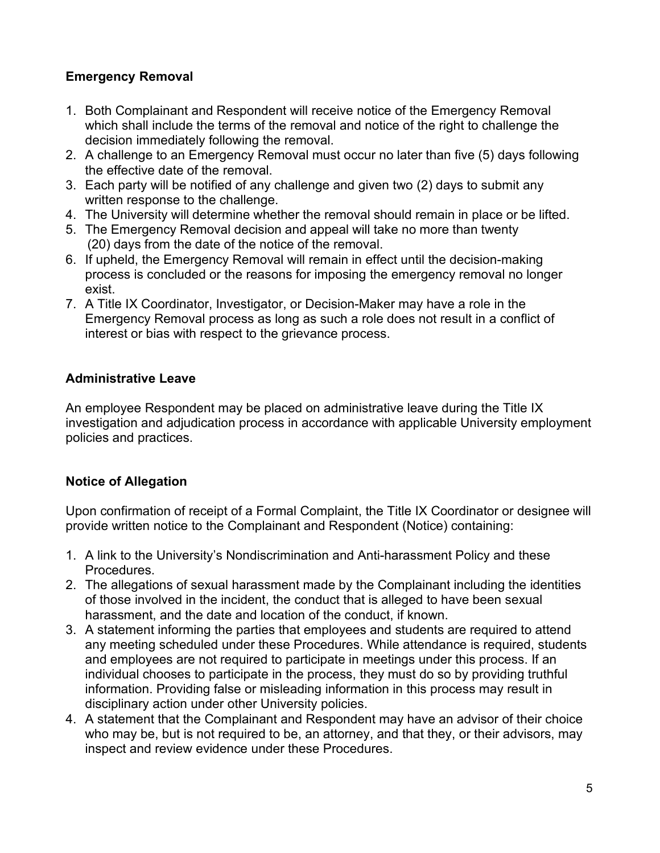# **Emergency Removal**

- 1. Both Complainant and Respondent will receive notice of the Emergency Removal which shall include the terms of the removal and notice of the right to challenge the decision immediately following the removal.
- 2. A challenge to an Emergency Removal must occur no later than five (5) days following the effective date of the removal.
- 3. Each party will be notified of any challenge and given two (2) days to submit any written response to the challenge.
- 4. The University will determine whether the removal should remain in place or be lifted.
- 5. The Emergency Removal decision and appeal will take no more than twenty (20) days from the date of the notice of the removal.
- 6. If upheld, the Emergency Removal will remain in effect until the decision-making process is concluded or the reasons for imposing the emergency removal no longer exist.
- 7. A Title IX Coordinator, Investigator, or Decision-Maker may have a role in the Emergency Removal process as long as such a role does not result in a conflict of interest or bias with respect to the grievance process.

# **Administrative Leave**

An employee Respondent may be placed on administrative leave during the Title IX investigation and adjudication process in accordance with applicable University employment policies and practices.

# **Notice of Allegation**

Upon confirmation of receipt of a Formal Complaint, the Title IX Coordinator or designee will provide written notice to the Complainant and Respondent (Notice) containing:

- 1. A link to the University's Nondiscrimination and Anti-harassment Policy and these Procedures.
- 2. The allegations of sexual harassment made by the Complainant including the identities of those involved in the incident, the conduct that is alleged to have been sexual harassment, and the date and location of the conduct, if known.
- 3. A statement informing the parties that employees and students are required to attend any meeting scheduled under these Procedures. While attendance is required, students and employees are not required to participate in meetings under this process. If an individual chooses to participate in the process, they must do so by providing truthful information. Providing false or misleading information in this process may result in disciplinary action under other University policies.
- 4. A statement that the Complainant and Respondent may have an advisor of their choice who may be, but is not required to be, an attorney, and that they, or their advisors, may inspect and review evidence under these Procedures.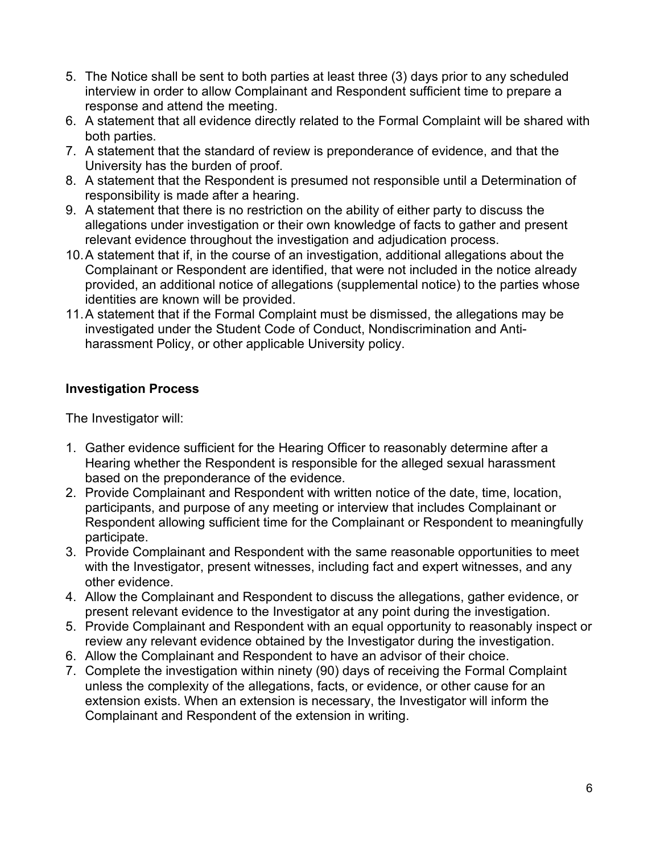- 5. The Notice shall be sent to both parties at least three (3) days prior to any scheduled interview in order to allow Complainant and Respondent sufficient time to prepare a response and attend the meeting.
- 6. A statement that all evidence directly related to the Formal Complaint will be shared with both parties.
- 7. A statement that the standard of review is preponderance of evidence, and that the University has the burden of proof.
- 8. A statement that the Respondent is presumed not responsible until a Determination of responsibility is made after a hearing.
- 9. A statement that there is no restriction on the ability of either party to discuss the allegations under investigation or their own knowledge of facts to gather and present relevant evidence throughout the investigation and adjudication process.
- 10.A statement that if, in the course of an investigation, additional allegations about the Complainant or Respondent are identified, that were not included in the notice already provided, an additional notice of allegations (supplemental notice) to the parties whose identities are known will be provided.
- 11.A statement that if the Formal Complaint must be dismissed, the allegations may be investigated under the Student Code of Conduct, Nondiscrimination and Antiharassment Policy, or other applicable University policy.

# **Investigation Process**

The Investigator will:

- 1. Gather evidence sufficient for the Hearing Officer to reasonably determine after a Hearing whether the Respondent is responsible for the alleged sexual harassment based on the preponderance of the evidence.
- 2. Provide Complainant and Respondent with written notice of the date, time, location, participants, and purpose of any meeting or interview that includes Complainant or Respondent allowing sufficient time for the Complainant or Respondent to meaningfully participate.
- 3. Provide Complainant and Respondent with the same reasonable opportunities to meet with the Investigator, present witnesses, including fact and expert witnesses, and any other evidence.
- 4. Allow the Complainant and Respondent to discuss the allegations, gather evidence, or present relevant evidence to the Investigator at any point during the investigation.
- 5. Provide Complainant and Respondent with an equal opportunity to reasonably inspect or review any relevant evidence obtained by the Investigator during the investigation.
- 6. Allow the Complainant and Respondent to have an advisor of their choice.
- 7. Complete the investigation within ninety (90) days of receiving the Formal Complaint unless the complexity of the allegations, facts, or evidence, or other cause for an extension exists. When an extension is necessary, the Investigator will inform the Complainant and Respondent of the extension in writing.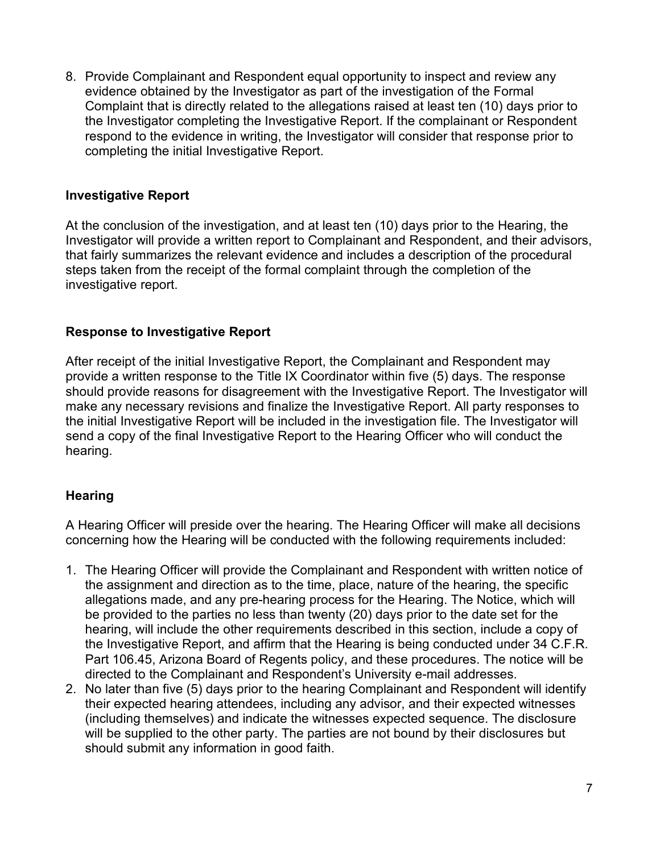8. Provide Complainant and Respondent equal opportunity to inspect and review any evidence obtained by the Investigator as part of the investigation of the Formal Complaint that is directly related to the allegations raised at least ten (10) days prior to the Investigator completing the Investigative Report. If the complainant or Respondent respond to the evidence in writing, the Investigator will consider that response prior to completing the initial Investigative Report.

### **Investigative Report**

At the conclusion of the investigation, and at least ten (10) days prior to the Hearing, the Investigator will provide a written report to Complainant and Respondent, and their advisors, that fairly summarizes the relevant evidence and includes a description of the procedural steps taken from the receipt of the formal complaint through the completion of the investigative report.

### **Response to Investigative Report**

After receipt of the initial Investigative Report, the Complainant and Respondent may provide a written response to the Title IX Coordinator within five (5) days. The response should provide reasons for disagreement with the Investigative Report. The Investigator will make any necessary revisions and finalize the Investigative Report. All party responses to the initial Investigative Report will be included in the investigation file. The Investigator will send a copy of the final Investigative Report to the Hearing Officer who will conduct the hearing.

# **Hearing**

A Hearing Officer will preside over the hearing. The Hearing Officer will make all decisions concerning how the Hearing will be conducted with the following requirements included:

- 1. The Hearing Officer will provide the Complainant and Respondent with written notice of the assignment and direction as to the time, place, nature of the hearing, the specific allegations made, and any pre-hearing process for the Hearing. The Notice, which will be provided to the parties no less than twenty (20) days prior to the date set for the hearing, will include the other requirements described in this section, include a copy of the Investigative Report, and affirm that the Hearing is being conducted under 34 C.F.R. Part 106.45, Arizona Board of Regents policy, and these procedures. The notice will be directed to the Complainant and Respondent's University e-mail addresses.
- 2. No later than five (5) days prior to the hearing Complainant and Respondent will identify their expected hearing attendees, including any advisor, and their expected witnesses (including themselves) and indicate the witnesses expected sequence. The disclosure will be supplied to the other party. The parties are not bound by their disclosures but should submit any information in good faith.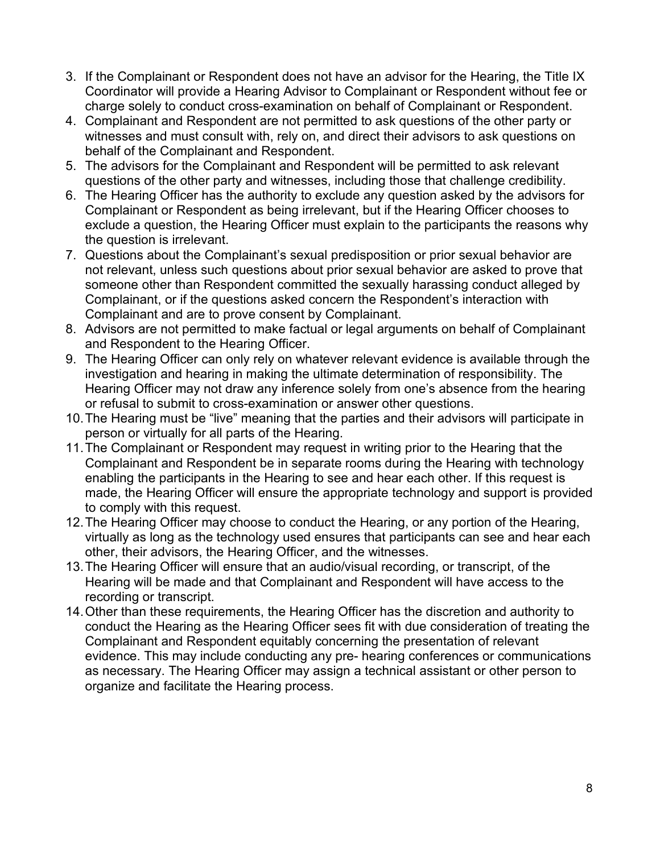- 3. If the Complainant or Respondent does not have an advisor for the Hearing, the Title IX Coordinator will provide a Hearing Advisor to Complainant or Respondent without fee or charge solely to conduct cross-examination on behalf of Complainant or Respondent.
- 4. Complainant and Respondent are not permitted to ask questions of the other party or witnesses and must consult with, rely on, and direct their advisors to ask questions on behalf of the Complainant and Respondent.
- 5. The advisors for the Complainant and Respondent will be permitted to ask relevant questions of the other party and witnesses, including those that challenge credibility.
- 6. The Hearing Officer has the authority to exclude any question asked by the advisors for Complainant or Respondent as being irrelevant, but if the Hearing Officer chooses to exclude a question, the Hearing Officer must explain to the participants the reasons why the question is irrelevant.
- 7. Questions about the Complainant's sexual predisposition or prior sexual behavior are not relevant, unless such questions about prior sexual behavior are asked to prove that someone other than Respondent committed the sexually harassing conduct alleged by Complainant, or if the questions asked concern the Respondent's interaction with Complainant and are to prove consent by Complainant.
- 8. Advisors are not permitted to make factual or legal arguments on behalf of Complainant and Respondent to the Hearing Officer.
- 9. The Hearing Officer can only rely on whatever relevant evidence is available through the investigation and hearing in making the ultimate determination of responsibility. The Hearing Officer may not draw any inference solely from one's absence from the hearing or refusal to submit to cross-examination or answer other questions.
- 10.The Hearing must be "live" meaning that the parties and their advisors will participate in person or virtually for all parts of the Hearing.
- 11.The Complainant or Respondent may request in writing prior to the Hearing that the Complainant and Respondent be in separate rooms during the Hearing with technology enabling the participants in the Hearing to see and hear each other. If this request is made, the Hearing Officer will ensure the appropriate technology and support is provided to comply with this request.
- 12.The Hearing Officer may choose to conduct the Hearing, or any portion of the Hearing, virtually as long as the technology used ensures that participants can see and hear each other, their advisors, the Hearing Officer, and the witnesses.
- 13.The Hearing Officer will ensure that an audio/visual recording, or transcript, of the Hearing will be made and that Complainant and Respondent will have access to the recording or transcript.
- 14.Other than these requirements, the Hearing Officer has the discretion and authority to conduct the Hearing as the Hearing Officer sees fit with due consideration of treating the Complainant and Respondent equitably concerning the presentation of relevant evidence. This may include conducting any pre- hearing conferences or communications as necessary. The Hearing Officer may assign a technical assistant or other person to organize and facilitate the Hearing process.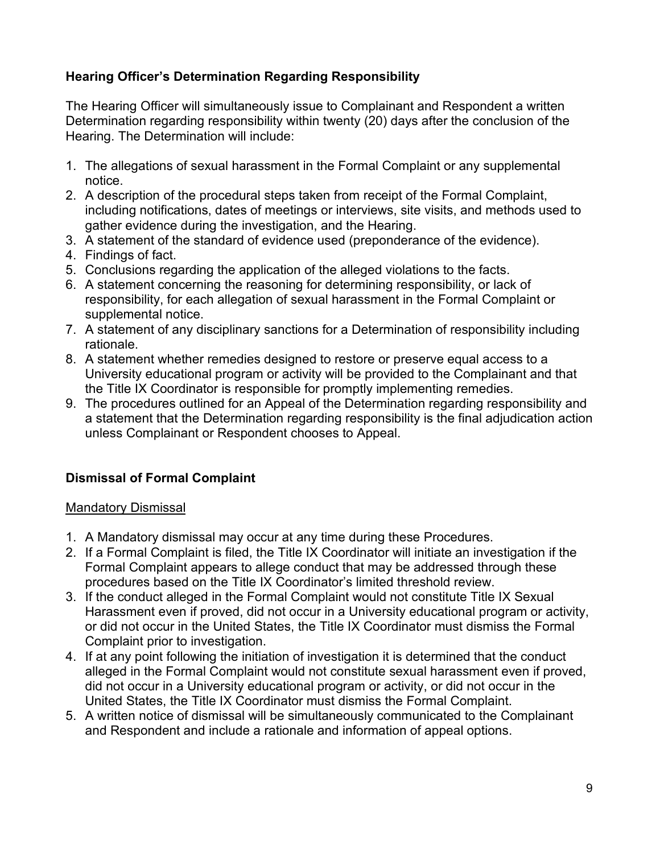# **Hearing Officer's Determination Regarding Responsibility**

The Hearing Officer will simultaneously issue to Complainant and Respondent a written Determination regarding responsibility within twenty (20) days after the conclusion of the Hearing. The Determination will include:

- 1. The allegations of sexual harassment in the Formal Complaint or any supplemental notice.
- 2. A description of the procedural steps taken from receipt of the Formal Complaint, including notifications, dates of meetings or interviews, site visits, and methods used to gather evidence during the investigation, and the Hearing.
- 3. A statement of the standard of evidence used (preponderance of the evidence).
- 4. Findings of fact.
- 5. Conclusions regarding the application of the alleged violations to the facts.
- 6. A statement concerning the reasoning for determining responsibility, or lack of responsibility, for each allegation of sexual harassment in the Formal Complaint or supplemental notice.
- 7. A statement of any disciplinary sanctions for a Determination of responsibility including rationale.
- 8. A statement whether remedies designed to restore or preserve equal access to a University educational program or activity will be provided to the Complainant and that the Title IX Coordinator is responsible for promptly implementing remedies.
- 9. The procedures outlined for an Appeal of the Determination regarding responsibility and a statement that the Determination regarding responsibility is the final adjudication action unless Complainant or Respondent chooses to Appeal.

# **Dismissal of Formal Complaint**

#### Mandatory Dismissal

- 1. A Mandatory dismissal may occur at any time during these Procedures.
- 2. If a Formal Complaint is filed, the Title IX Coordinator will initiate an investigation if the Formal Complaint appears to allege conduct that may be addressed through these procedures based on the Title IX Coordinator's limited threshold review.
- 3. If the conduct alleged in the Formal Complaint would not constitute Title IX Sexual Harassment even if proved, did not occur in a University educational program or activity, or did not occur in the United States, the Title IX Coordinator must dismiss the Formal Complaint prior to investigation.
- 4. If at any point following the initiation of investigation it is determined that the conduct alleged in the Formal Complaint would not constitute sexual harassment even if proved, did not occur in a University educational program or activity, or did not occur in the United States, the Title IX Coordinator must dismiss the Formal Complaint.
- 5. A written notice of dismissal will be simultaneously communicated to the Complainant and Respondent and include a rationale and information of appeal options.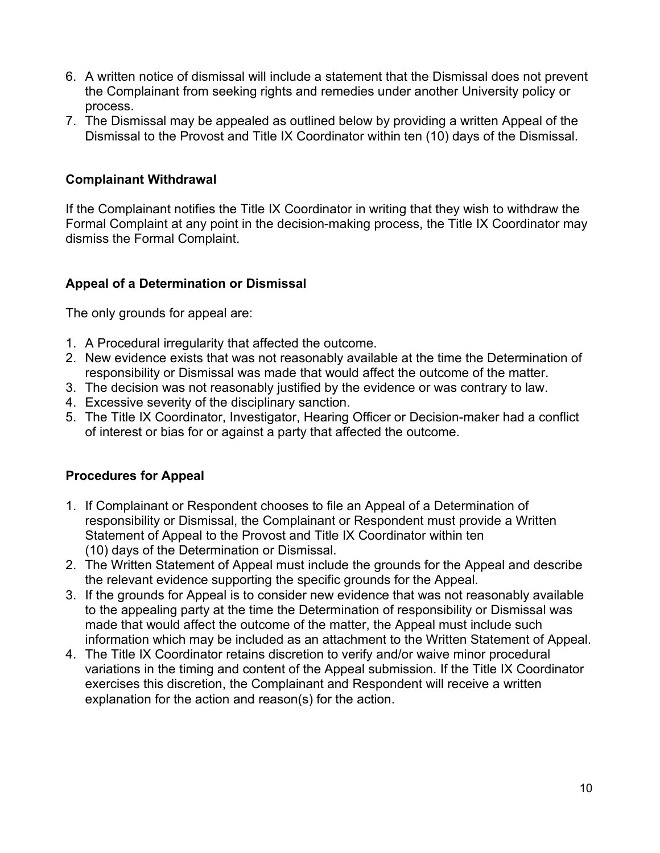- 6. A written notice of dismissal will include a statement that the Dismissal does not prevent the Complainant from seeking rights and remedies under another University policy or process.
- 7. The Dismissal may be appealed as outlined below by providing a written Appeal of the Dismissal to the Provost and Title IX Coordinator within ten (10) days of the Dismissal.

### **Complainant Withdrawal**

If the Complainant notifies the Title IX Coordinator in writing that they wish to withdraw the Formal Complaint at any point in the decision-making process, the Title IX Coordinator may dismiss the Formal Complaint.

# **Appeal of a Determination or Dismissal**

The only grounds for appeal are:

- 1. A Procedural irregularity that affected the outcome.
- 2. New evidence exists that was not reasonably available at the time the Determination of responsibility or Dismissal was made that would affect the outcome of the matter.
- 3. The decision was not reasonably justified by the evidence or was contrary to law.
- 4. Excessive severity of the disciplinary sanction.
- 5. The Title IX Coordinator, Investigator, Hearing Officer or Decision-maker had a conflict of interest or bias for or against a party that affected the outcome.

#### **Procedures for Appeal**

- 1. If Complainant or Respondent chooses to file an Appeal of a Determination of responsibility or Dismissal, the Complainant or Respondent must provide a Written Statement of Appeal to the Provost and Title IX Coordinator within ten (10) days of the Determination or Dismissal.
- 2. The Written Statement of Appeal must include the grounds for the Appeal and describe the relevant evidence supporting the specific grounds for the Appeal.
- 3. If the grounds for Appeal is to consider new evidence that was not reasonably available to the appealing party at the time the Determination of responsibility or Dismissal was made that would affect the outcome of the matter, the Appeal must include such information which may be included as an attachment to the Written Statement of Appeal.
- 4. The Title IX Coordinator retains discretion to verify and/or waive minor procedural variations in the timing and content of the Appeal submission. If the Title IX Coordinator exercises this discretion, the Complainant and Respondent will receive a written explanation for the action and reason(s) for the action.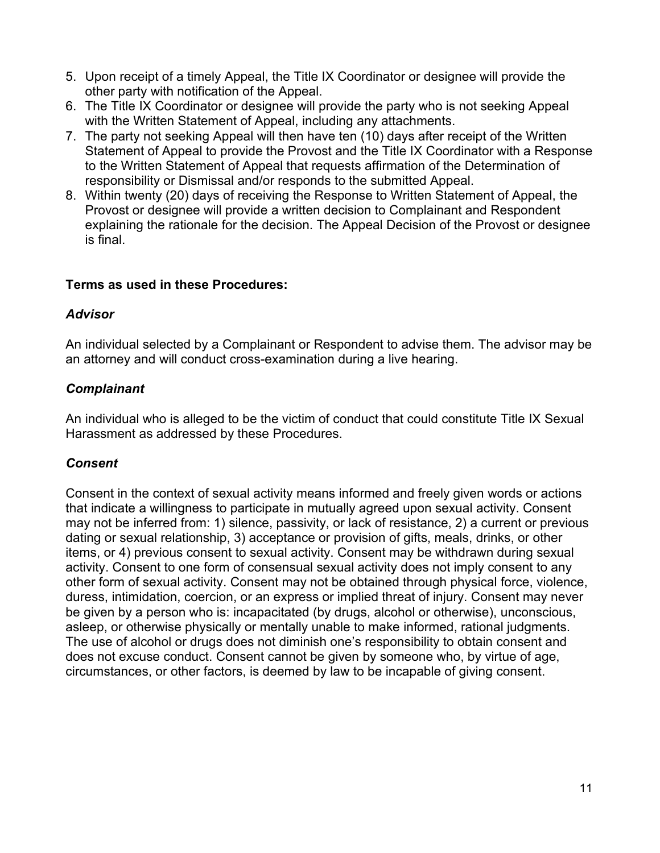- 5. Upon receipt of a timely Appeal, the Title IX Coordinator or designee will provide the other party with notification of the Appeal.
- 6. The Title IX Coordinator or designee will provide the party who is not seeking Appeal with the Written Statement of Appeal, including any attachments.
- 7. The party not seeking Appeal will then have ten (10) days after receipt of the Written Statement of Appeal to provide the Provost and the Title IX Coordinator with a Response to the Written Statement of Appeal that requests affirmation of the Determination of responsibility or Dismissal and/or responds to the submitted Appeal.
- 8. Within twenty (20) days of receiving the Response to Written Statement of Appeal, the Provost or designee will provide a written decision to Complainant and Respondent explaining the rationale for the decision. The Appeal Decision of the Provost or designee is final.

### **Terms as used in these Procedures:**

#### *Advisor*

An individual selected by a Complainant or Respondent to advise them. The advisor may be an attorney and will conduct cross-examination during a live hearing.

# *Complainant*

An individual who is alleged to be the victim of conduct that could constitute Title IX Sexual Harassment as addressed by these Procedures.

# *Consent*

Consent in the context of sexual activity means informed and freely given words or actions that indicate a willingness to participate in mutually agreed upon sexual activity. Consent may not be inferred from: 1) silence, passivity, or lack of resistance, 2) a current or previous dating or sexual relationship, 3) acceptance or provision of gifts, meals, drinks, or other items, or 4) previous consent to sexual activity. Consent may be withdrawn during sexual activity. Consent to one form of consensual sexual activity does not imply consent to any other form of sexual activity. Consent may not be obtained through physical force, violence, duress, intimidation, coercion, or an express or implied threat of injury. Consent may never be given by a person who is: incapacitated (by drugs, alcohol or otherwise), unconscious, asleep, or otherwise physically or mentally unable to make informed, rational judgments. The use of alcohol or drugs does not diminish one's responsibility to obtain consent and does not excuse conduct. Consent cannot be given by someone who, by virtue of age, circumstances, or other factors, is deemed by law to be incapable of giving consent.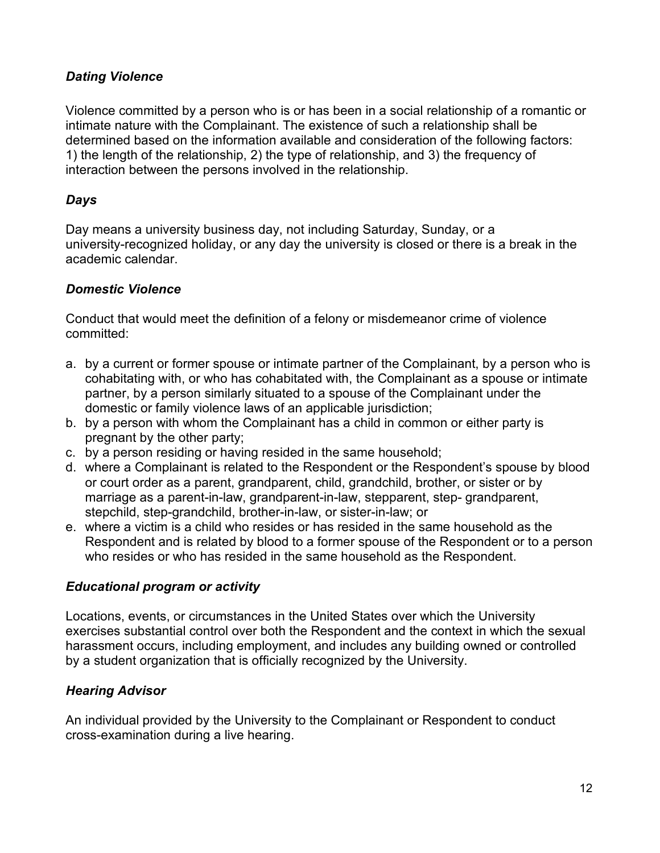# *Dating Violence*

Violence committed by a person who is or has been in a social relationship of a romantic or intimate nature with the Complainant. The existence of such a relationship shall be determined based on the information available and consideration of the following factors: 1) the length of the relationship, 2) the type of relationship, and 3) the frequency of interaction between the persons involved in the relationship.

### *Days*

Day means a university business day, not including Saturday, Sunday, or a university-recognized holiday, or any day the university is closed or there is a break in the academic calendar.

### *Domestic Violence*

Conduct that would meet the definition of a felony or misdemeanor crime of violence committed:

- a. by a current or former spouse or intimate partner of the Complainant, by a person who is cohabitating with, or who has cohabitated with, the Complainant as a spouse or intimate partner, by a person similarly situated to a spouse of the Complainant under the domestic or family violence laws of an applicable jurisdiction;
- b. by a person with whom the Complainant has a child in common or either party is pregnant by the other party;
- c. by a person residing or having resided in the same household;
- d. where a Complainant is related to the Respondent or the Respondent's spouse by blood or court order as a parent, grandparent, child, grandchild, brother, or sister or by marriage as a parent-in-law, grandparent-in-law, stepparent, step- grandparent, stepchild, step-grandchild, brother-in-law, or sister-in-law; or
- e. where a victim is a child who resides or has resided in the same household as the Respondent and is related by blood to a former spouse of the Respondent or to a person who resides or who has resided in the same household as the Respondent.

# *Educational program or activity*

Locations, events, or circumstances in the United States over which the University exercises substantial control over both the Respondent and the context in which the sexual harassment occurs, including employment, and includes any building owned or controlled by a student organization that is officially recognized by the University.

# *Hearing Advisor*

An individual provided by the University to the Complainant or Respondent to conduct cross-examination during a live hearing.